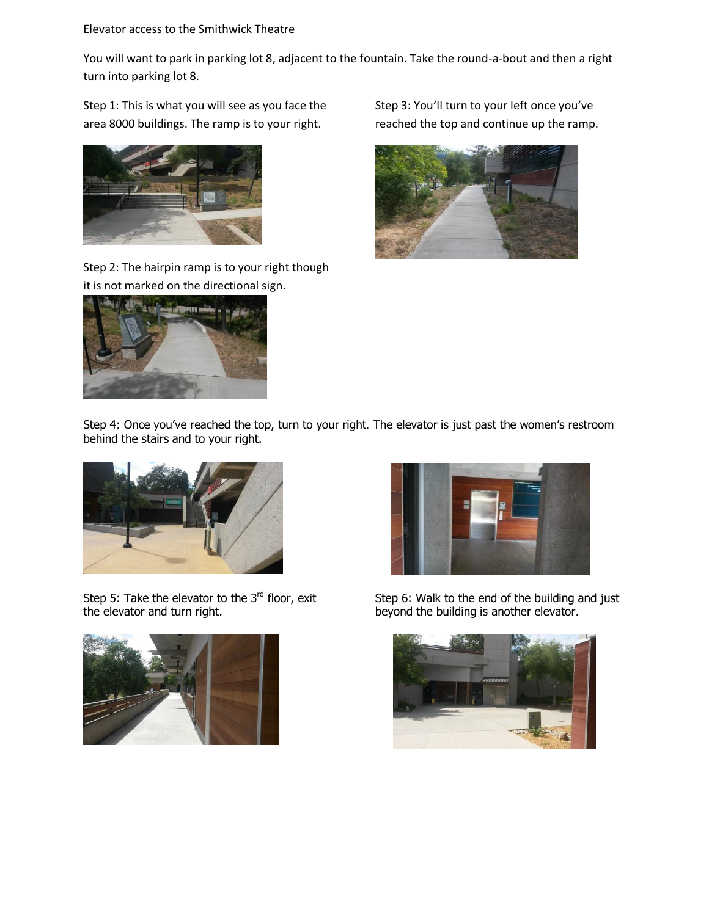Elevator access to the Smithwick Theatre

You will want to park in parking lot 8, adjacent to the fountain. Take the round-a-bout and then a right turn into parking lot 8.

Step 1: This is what you will see as you face the area 8000 buildings. The ramp is to your right.



Step 2: The hairpin ramp is to your right though it is not marked on the directional sign.



Step 3: You'll turn to your left once you've reached the top and continue up the ramp.



Step 4: Once you've reached the top, turn to your right. The elevator is just past the women's restroom behind the stairs and to your right.



Step 5: Take the elevator to the  $3<sup>rd</sup>$  floor, exit the elevator and turn right.





Step 6: Walk to the end of the building and just beyond the building is another elevator.